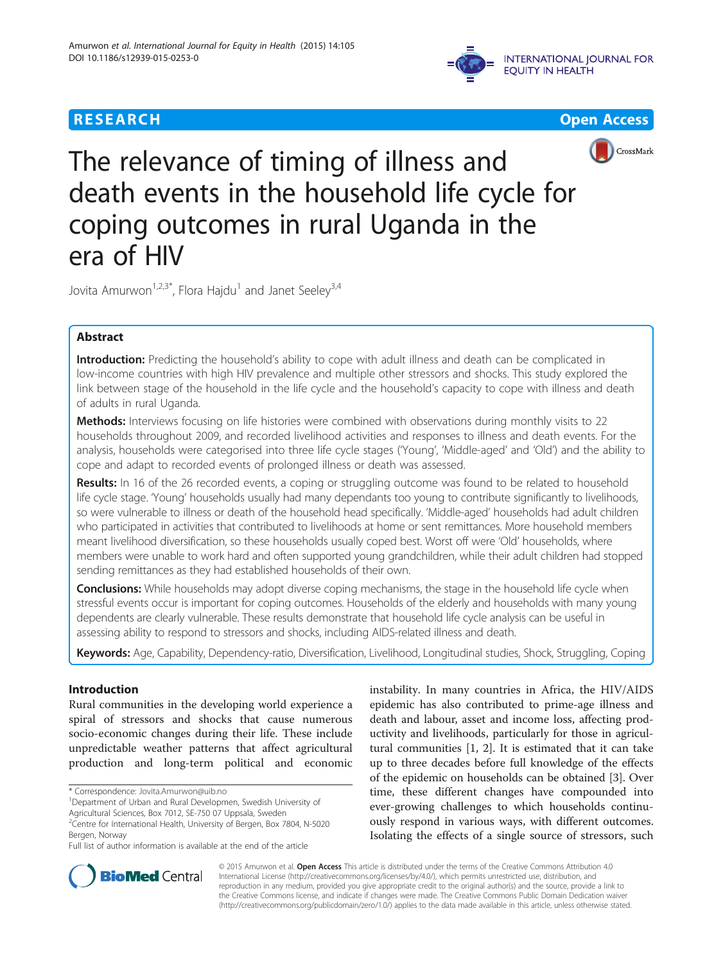







The relevance of timing of illness and death events in the household life cycle for coping outcomes in rural Uganda in the era of HIV

Jovita Amurwon<sup>1,2,3\*</sup>, Flora Hajdu<sup>1</sup> and Janet Seeley<sup>3,4</sup>

# Abstract

Introduction: Predicting the household's ability to cope with adult illness and death can be complicated in low-income countries with high HIV prevalence and multiple other stressors and shocks. This study explored the link between stage of the household in the life cycle and the household's capacity to cope with illness and death of adults in rural Uganda.

Methods: Interviews focusing on life histories were combined with observations during monthly visits to 22 households throughout 2009, and recorded livelihood activities and responses to illness and death events. For the analysis, households were categorised into three life cycle stages ('Young', 'Middle-aged' and 'Old') and the ability to cope and adapt to recorded events of prolonged illness or death was assessed.

Results: In 16 of the 26 recorded events, a coping or struggling outcome was found to be related to household life cycle stage. 'Young' households usually had many dependants too young to contribute significantly to livelihoods, so were vulnerable to illness or death of the household head specifically. 'Middle-aged' households had adult children who participated in activities that contributed to livelihoods at home or sent remittances. More household members meant livelihood diversification, so these households usually coped best. Worst off were 'Old' households, where members were unable to work hard and often supported young grandchildren, while their adult children had stopped sending remittances as they had established households of their own.

**Conclusions:** While households may adopt diverse coping mechanisms, the stage in the household life cycle when stressful events occur is important for coping outcomes. Households of the elderly and households with many young dependents are clearly vulnerable. These results demonstrate that household life cycle analysis can be useful in assessing ability to respond to stressors and shocks, including AIDS-related illness and death.

Keywords: Age, Capability, Dependency-ratio, Diversification, Livelihood, Longitudinal studies, Shock, Struggling, Coping

# Introduction

Rural communities in the developing world experience a spiral of stressors and shocks that cause numerous socio-economic changes during their life. These include unpredictable weather patterns that affect agricultural production and long-term political and economic

<sup>1</sup>Department of Urban and Rural Developmen, Swedish University of Agricultural Sciences, Box 7012, SE-750 07 Uppsala, Sweden

instability. In many countries in Africa, the HIV/AIDS epidemic has also contributed to prime-age illness and death and labour, asset and income loss, affecting productivity and livelihoods, particularly for those in agricultural communities [\[1](#page-7-0), [2\]](#page-7-0). It is estimated that it can take up to three decades before full knowledge of the effects of the epidemic on households can be obtained [\[3](#page-7-0)]. Over time, these different changes have compounded into ever-growing challenges to which households continuously respond in various ways, with different outcomes. Isolating the effects of a single source of stressors, such



© 2015 Amurwon et al. Open Access This article is distributed under the terms of the Creative Commons Attribution 4.0 International License [\(http://creativecommons.org/licenses/by/4.0/](http://creativecommons.org/licenses/by/4.0/)), which permits unrestricted use, distribution, and reproduction in any medium, provided you give appropriate credit to the original author(s) and the source, provide a link to the Creative Commons license, and indicate if changes were made. The Creative Commons Public Domain Dedication waiver [\(http://creativecommons.org/publicdomain/zero/1.0/](http://creativecommons.org/publicdomain/zero/1.0/)) applies to the data made available in this article, unless otherwise stated.

<sup>\*</sup> Correspondence: [Jovita.Amurwon@uib.no](mailto:Jovita.Amurwon@uib.no) <sup>1</sup>

<sup>&</sup>lt;sup>2</sup>Centre for International Health, University of Bergen, Box 7804, N-5020 Bergen, Norway

Full list of author information is available at the end of the article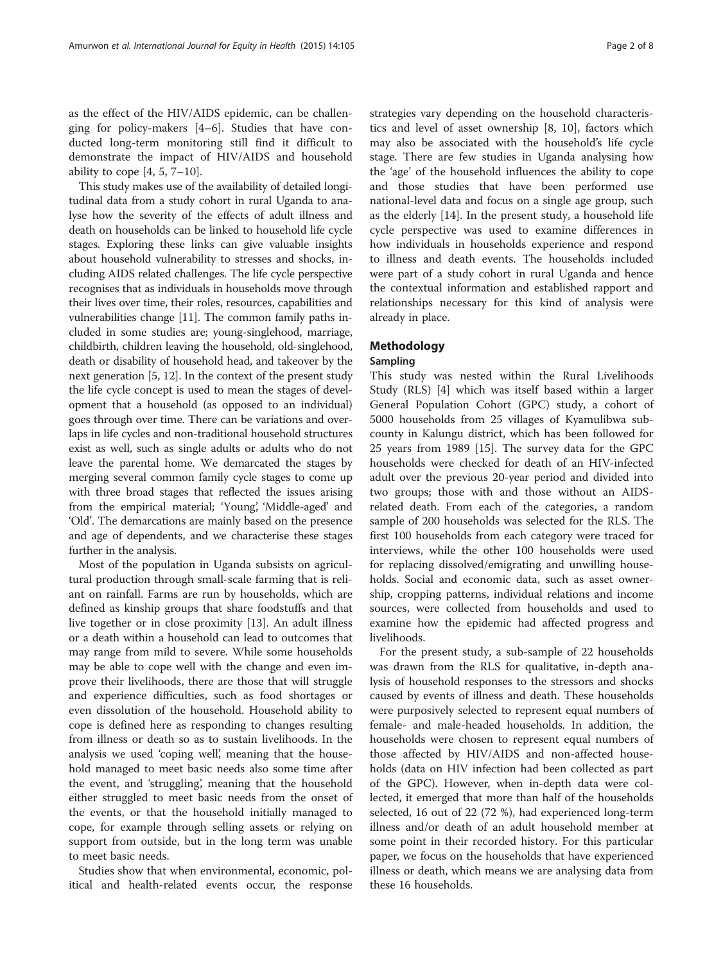as the effect of the HIV/AIDS epidemic, can be challenging for policy-makers [[4](#page-7-0)–[6](#page-7-0)]. Studies that have conducted long-term monitoring still find it difficult to demonstrate the impact of HIV/AIDS and household ability to cope  $[4, 5, 7-10]$  $[4, 5, 7-10]$  $[4, 5, 7-10]$  $[4, 5, 7-10]$  $[4, 5, 7-10]$ .

This study makes use of the availability of detailed longitudinal data from a study cohort in rural Uganda to analyse how the severity of the effects of adult illness and death on households can be linked to household life cycle stages. Exploring these links can give valuable insights about household vulnerability to stresses and shocks, including AIDS related challenges. The life cycle perspective recognises that as individuals in households move through their lives over time, their roles, resources, capabilities and vulnerabilities change [\[11\]](#page-7-0). The common family paths included in some studies are; young-singlehood, marriage, childbirth, children leaving the household, old-singlehood, death or disability of household head, and takeover by the next generation [[5, 12](#page-7-0)]. In the context of the present study the life cycle concept is used to mean the stages of development that a household (as opposed to an individual) goes through over time. There can be variations and overlaps in life cycles and non-traditional household structures exist as well, such as single adults or adults who do not leave the parental home. We demarcated the stages by merging several common family cycle stages to come up with three broad stages that reflected the issues arising from the empirical material; 'Young', 'Middle-aged' and 'Old'. The demarcations are mainly based on the presence and age of dependents, and we characterise these stages further in the analysis.

Most of the population in Uganda subsists on agricultural production through small-scale farming that is reliant on rainfall. Farms are run by households, which are defined as kinship groups that share foodstuffs and that live together or in close proximity [\[13](#page-7-0)]. An adult illness or a death within a household can lead to outcomes that may range from mild to severe. While some households may be able to cope well with the change and even improve their livelihoods, there are those that will struggle and experience difficulties, such as food shortages or even dissolution of the household. Household ability to cope is defined here as responding to changes resulting from illness or death so as to sustain livelihoods. In the analysis we used 'coping well', meaning that the household managed to meet basic needs also some time after the event, and 'struggling', meaning that the household either struggled to meet basic needs from the onset of the events, or that the household initially managed to cope, for example through selling assets or relying on support from outside, but in the long term was unable to meet basic needs.

Studies show that when environmental, economic, political and health-related events occur, the response

strategies vary depending on the household characteristics and level of asset ownership [\[8](#page-7-0), [10\]](#page-7-0), factors which may also be associated with the household's life cycle stage. There are few studies in Uganda analysing how the 'age' of the household influences the ability to cope and those studies that have been performed use national-level data and focus on a single age group, such as the elderly [[14\]](#page-7-0). In the present study, a household life cycle perspective was used to examine differences in how individuals in households experience and respond to illness and death events. The households included were part of a study cohort in rural Uganda and hence the contextual information and established rapport and relationships necessary for this kind of analysis were already in place.

# Methodology

### Sampling

This study was nested within the Rural Livelihoods Study (RLS) [[4\]](#page-7-0) which was itself based within a larger General Population Cohort (GPC) study, a cohort of 5000 households from 25 villages of Kyamulibwa subcounty in Kalungu district, which has been followed for 25 years from 1989 [[15](#page-7-0)]. The survey data for the GPC households were checked for death of an HIV-infected adult over the previous 20-year period and divided into two groups; those with and those without an AIDSrelated death. From each of the categories, a random sample of 200 households was selected for the RLS. The first 100 households from each category were traced for interviews, while the other 100 households were used for replacing dissolved/emigrating and unwilling households. Social and economic data, such as asset ownership, cropping patterns, individual relations and income sources, were collected from households and used to examine how the epidemic had affected progress and livelihoods.

For the present study, a sub-sample of 22 households was drawn from the RLS for qualitative, in-depth analysis of household responses to the stressors and shocks caused by events of illness and death. These households were purposively selected to represent equal numbers of female- and male-headed households. In addition, the households were chosen to represent equal numbers of those affected by HIV/AIDS and non-affected households (data on HIV infection had been collected as part of the GPC). However, when in-depth data were collected, it emerged that more than half of the households selected, 16 out of 22 (72 %), had experienced long-term illness and/or death of an adult household member at some point in their recorded history. For this particular paper, we focus on the households that have experienced illness or death, which means we are analysing data from these 16 households.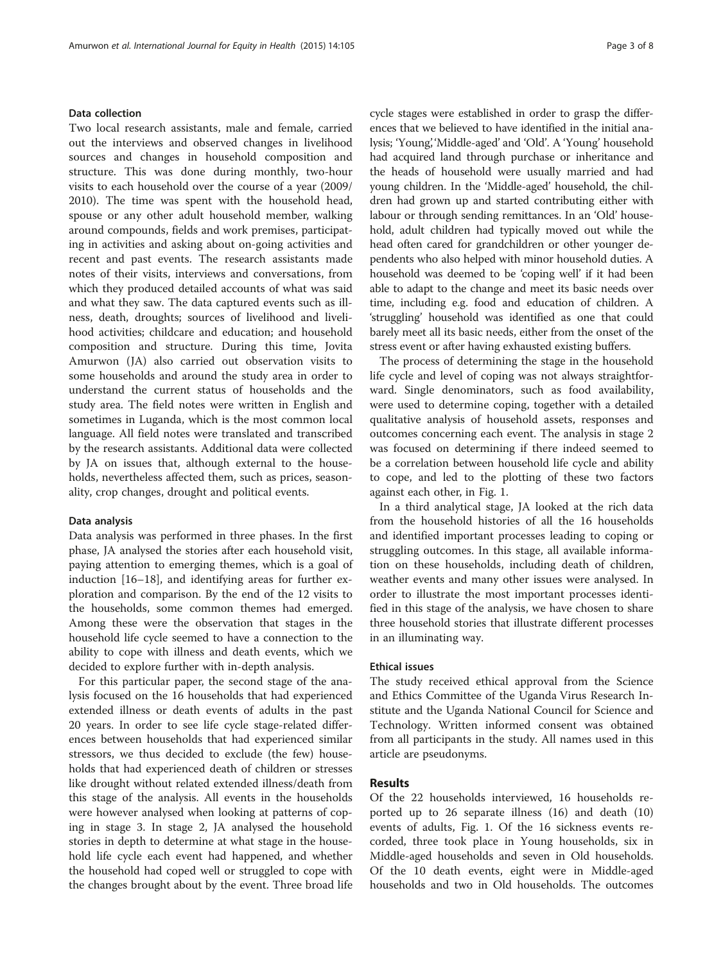# Data collection

Two local research assistants, male and female, carried out the interviews and observed changes in livelihood sources and changes in household composition and structure. This was done during monthly, two-hour visits to each household over the course of a year (2009/ 2010). The time was spent with the household head, spouse or any other adult household member, walking around compounds, fields and work premises, participating in activities and asking about on-going activities and recent and past events. The research assistants made notes of their visits, interviews and conversations, from which they produced detailed accounts of what was said and what they saw. The data captured events such as illness, death, droughts; sources of livelihood and livelihood activities; childcare and education; and household composition and structure. During this time, Jovita Amurwon (JA) also carried out observation visits to some households and around the study area in order to understand the current status of households and the study area. The field notes were written in English and sometimes in Luganda, which is the most common local language. All field notes were translated and transcribed by the research assistants. Additional data were collected by JA on issues that, although external to the households, nevertheless affected them, such as prices, seasonality, crop changes, drought and political events.

## Data analysis

Data analysis was performed in three phases. In the first phase, JA analysed the stories after each household visit, paying attention to emerging themes, which is a goal of induction [\[16](#page-7-0)–[18\]](#page-7-0), and identifying areas for further exploration and comparison. By the end of the 12 visits to the households, some common themes had emerged. Among these were the observation that stages in the household life cycle seemed to have a connection to the ability to cope with illness and death events, which we decided to explore further with in-depth analysis.

For this particular paper, the second stage of the analysis focused on the 16 households that had experienced extended illness or death events of adults in the past 20 years. In order to see life cycle stage-related differences between households that had experienced similar stressors, we thus decided to exclude (the few) households that had experienced death of children or stresses like drought without related extended illness/death from this stage of the analysis. All events in the households were however analysed when looking at patterns of coping in stage 3. In stage 2, JA analysed the household stories in depth to determine at what stage in the household life cycle each event had happened, and whether the household had coped well or struggled to cope with the changes brought about by the event. Three broad life cycle stages were established in order to grasp the differences that we believed to have identified in the initial analysis; 'Young', 'Middle-aged' and 'Old'. A 'Young' household had acquired land through purchase or inheritance and the heads of household were usually married and had young children. In the 'Middle-aged' household, the children had grown up and started contributing either with labour or through sending remittances. In an 'Old' household, adult children had typically moved out while the head often cared for grandchildren or other younger dependents who also helped with minor household duties. A household was deemed to be 'coping well' if it had been able to adapt to the change and meet its basic needs over time, including e.g. food and education of children. A 'struggling' household was identified as one that could barely meet all its basic needs, either from the onset of the stress event or after having exhausted existing buffers.

The process of determining the stage in the household life cycle and level of coping was not always straightforward. Single denominators, such as food availability, were used to determine coping, together with a detailed qualitative analysis of household assets, responses and outcomes concerning each event. The analysis in stage 2 was focused on determining if there indeed seemed to be a correlation between household life cycle and ability to cope, and led to the plotting of these two factors against each other, in Fig. [1.](#page-3-0)

In a third analytical stage, JA looked at the rich data from the household histories of all the 16 households and identified important processes leading to coping or struggling outcomes. In this stage, all available information on these households, including death of children, weather events and many other issues were analysed. In order to illustrate the most important processes identified in this stage of the analysis, we have chosen to share three household stories that illustrate different processes in an illuminating way.

### Ethical issues

The study received ethical approval from the Science and Ethics Committee of the Uganda Virus Research Institute and the Uganda National Council for Science and Technology. Written informed consent was obtained from all participants in the study. All names used in this article are pseudonyms.

# Results

Of the 22 households interviewed, 16 households reported up to 26 separate illness (16) and death (10) events of adults, Fig. [1.](#page-3-0) Of the 16 sickness events recorded, three took place in Young households, six in Middle-aged households and seven in Old households. Of the 10 death events, eight were in Middle-aged households and two in Old households. The outcomes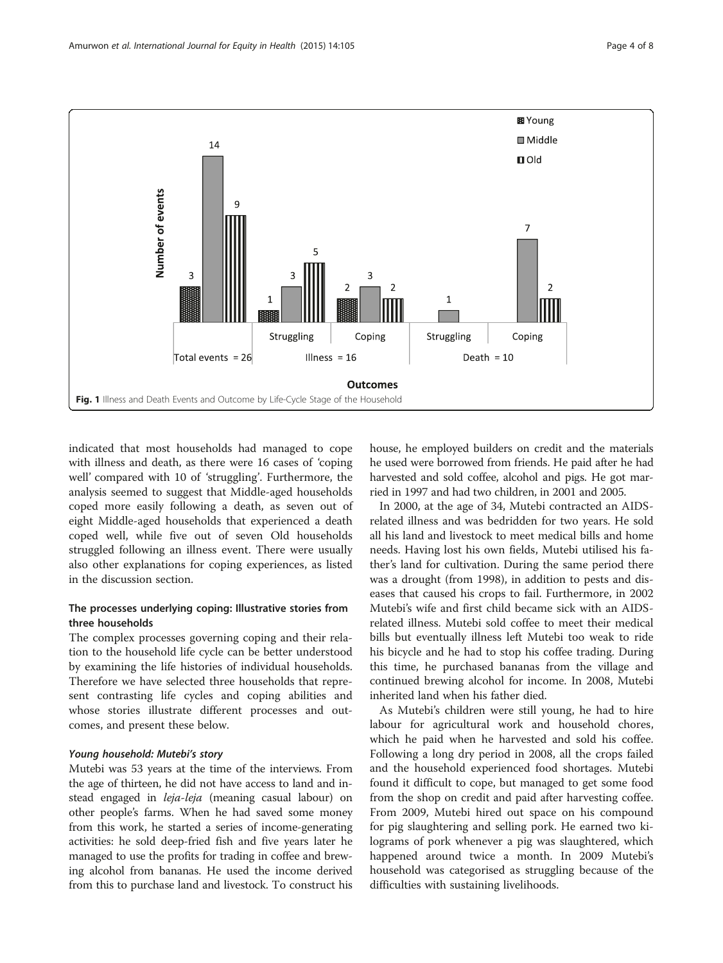<span id="page-3-0"></span>

indicated that most households had managed to cope with illness and death, as there were 16 cases of 'coping well' compared with 10 of 'struggling'. Furthermore, the analysis seemed to suggest that Middle-aged households coped more easily following a death, as seven out of eight Middle-aged households that experienced a death coped well, while five out of seven Old households struggled following an illness event. There were usually also other explanations for coping experiences, as listed in the discussion section.

# The processes underlying coping: Illustrative stories from three households

The complex processes governing coping and their relation to the household life cycle can be better understood by examining the life histories of individual households. Therefore we have selected three households that represent contrasting life cycles and coping abilities and whose stories illustrate different processes and outcomes, and present these below.

# Young household: Mutebi's story

Mutebi was 53 years at the time of the interviews. From the age of thirteen, he did not have access to land and instead engaged in leja-leja (meaning casual labour) on other people's farms. When he had saved some money from this work, he started a series of income-generating activities: he sold deep-fried fish and five years later he managed to use the profits for trading in coffee and brewing alcohol from bananas. He used the income derived from this to purchase land and livestock. To construct his house, he employed builders on credit and the materials he used were borrowed from friends. He paid after he had harvested and sold coffee, alcohol and pigs. He got married in 1997 and had two children, in 2001 and 2005.

In 2000, at the age of 34, Mutebi contracted an AIDSrelated illness and was bedridden for two years. He sold all his land and livestock to meet medical bills and home needs. Having lost his own fields, Mutebi utilised his father's land for cultivation. During the same period there was a drought (from 1998), in addition to pests and diseases that caused his crops to fail. Furthermore, in 2002 Mutebi's wife and first child became sick with an AIDSrelated illness. Mutebi sold coffee to meet their medical bills but eventually illness left Mutebi too weak to ride his bicycle and he had to stop his coffee trading. During this time, he purchased bananas from the village and continued brewing alcohol for income. In 2008, Mutebi inherited land when his father died.

As Mutebi's children were still young, he had to hire labour for agricultural work and household chores, which he paid when he harvested and sold his coffee. Following a long dry period in 2008, all the crops failed and the household experienced food shortages. Mutebi found it difficult to cope, but managed to get some food from the shop on credit and paid after harvesting coffee. From 2009, Mutebi hired out space on his compound for pig slaughtering and selling pork. He earned two kilograms of pork whenever a pig was slaughtered, which happened around twice a month. In 2009 Mutebi's household was categorised as struggling because of the difficulties with sustaining livelihoods.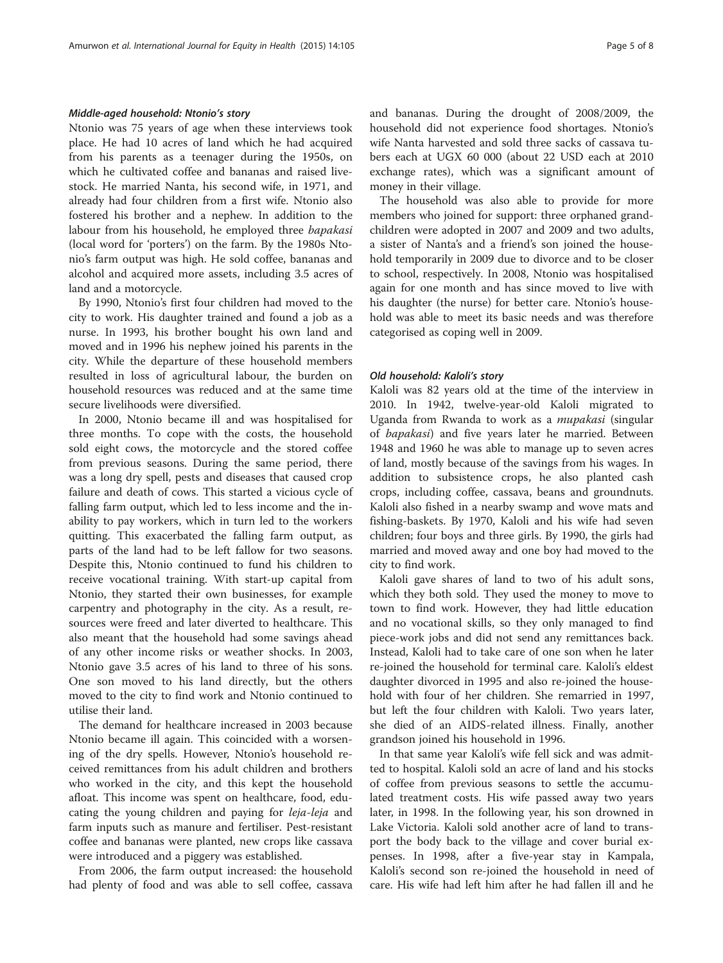### Middle-aged household: Ntonio's story

Ntonio was 75 years of age when these interviews took place. He had 10 acres of land which he had acquired from his parents as a teenager during the 1950s, on which he cultivated coffee and bananas and raised livestock. He married Nanta, his second wife, in 1971, and already had four children from a first wife. Ntonio also fostered his brother and a nephew. In addition to the labour from his household, he employed three bapakasi (local word for 'porters') on the farm. By the 1980s Ntonio's farm output was high. He sold coffee, bananas and alcohol and acquired more assets, including 3.5 acres of land and a motorcycle.

By 1990, Ntonio's first four children had moved to the city to work. His daughter trained and found a job as a nurse. In 1993, his brother bought his own land and moved and in 1996 his nephew joined his parents in the city. While the departure of these household members resulted in loss of agricultural labour, the burden on household resources was reduced and at the same time secure livelihoods were diversified.

In 2000, Ntonio became ill and was hospitalised for three months. To cope with the costs, the household sold eight cows, the motorcycle and the stored coffee from previous seasons. During the same period, there was a long dry spell, pests and diseases that caused crop failure and death of cows. This started a vicious cycle of falling farm output, which led to less income and the inability to pay workers, which in turn led to the workers quitting. This exacerbated the falling farm output, as parts of the land had to be left fallow for two seasons. Despite this, Ntonio continued to fund his children to receive vocational training. With start-up capital from Ntonio, they started their own businesses, for example carpentry and photography in the city. As a result, resources were freed and later diverted to healthcare. This also meant that the household had some savings ahead of any other income risks or weather shocks. In 2003, Ntonio gave 3.5 acres of his land to three of his sons. One son moved to his land directly, but the others moved to the city to find work and Ntonio continued to utilise their land.

The demand for healthcare increased in 2003 because Ntonio became ill again. This coincided with a worsening of the dry spells. However, Ntonio's household received remittances from his adult children and brothers who worked in the city, and this kept the household afloat. This income was spent on healthcare, food, educating the young children and paying for leja-leja and farm inputs such as manure and fertiliser. Pest-resistant coffee and bananas were planted, new crops like cassava were introduced and a piggery was established.

From 2006, the farm output increased: the household had plenty of food and was able to sell coffee, cassava and bananas. During the drought of 2008/2009, the household did not experience food shortages. Ntonio's wife Nanta harvested and sold three sacks of cassava tubers each at UGX 60 000 (about 22 USD each at 2010 exchange rates), which was a significant amount of money in their village.

The household was also able to provide for more members who joined for support: three orphaned grandchildren were adopted in 2007 and 2009 and two adults, a sister of Nanta's and a friend's son joined the household temporarily in 2009 due to divorce and to be closer to school, respectively. In 2008, Ntonio was hospitalised again for one month and has since moved to live with his daughter (the nurse) for better care. Ntonio's household was able to meet its basic needs and was therefore categorised as coping well in 2009.

### Old household: Kaloli's story

Kaloli was 82 years old at the time of the interview in 2010. In 1942, twelve-year-old Kaloli migrated to Uganda from Rwanda to work as a mupakasi (singular of bapakasi) and five years later he married. Between 1948 and 1960 he was able to manage up to seven acres of land, mostly because of the savings from his wages. In addition to subsistence crops, he also planted cash crops, including coffee, cassava, beans and groundnuts. Kaloli also fished in a nearby swamp and wove mats and fishing-baskets. By 1970, Kaloli and his wife had seven children; four boys and three girls. By 1990, the girls had married and moved away and one boy had moved to the city to find work.

Kaloli gave shares of land to two of his adult sons, which they both sold. They used the money to move to town to find work. However, they had little education and no vocational skills, so they only managed to find piece-work jobs and did not send any remittances back. Instead, Kaloli had to take care of one son when he later re-joined the household for terminal care. Kaloli's eldest daughter divorced in 1995 and also re-joined the household with four of her children. She remarried in 1997, but left the four children with Kaloli. Two years later, she died of an AIDS-related illness. Finally, another grandson joined his household in 1996.

In that same year Kaloli's wife fell sick and was admitted to hospital. Kaloli sold an acre of land and his stocks of coffee from previous seasons to settle the accumulated treatment costs. His wife passed away two years later, in 1998. In the following year, his son drowned in Lake Victoria. Kaloli sold another acre of land to transport the body back to the village and cover burial expenses. In 1998, after a five-year stay in Kampala, Kaloli's second son re-joined the household in need of care. His wife had left him after he had fallen ill and he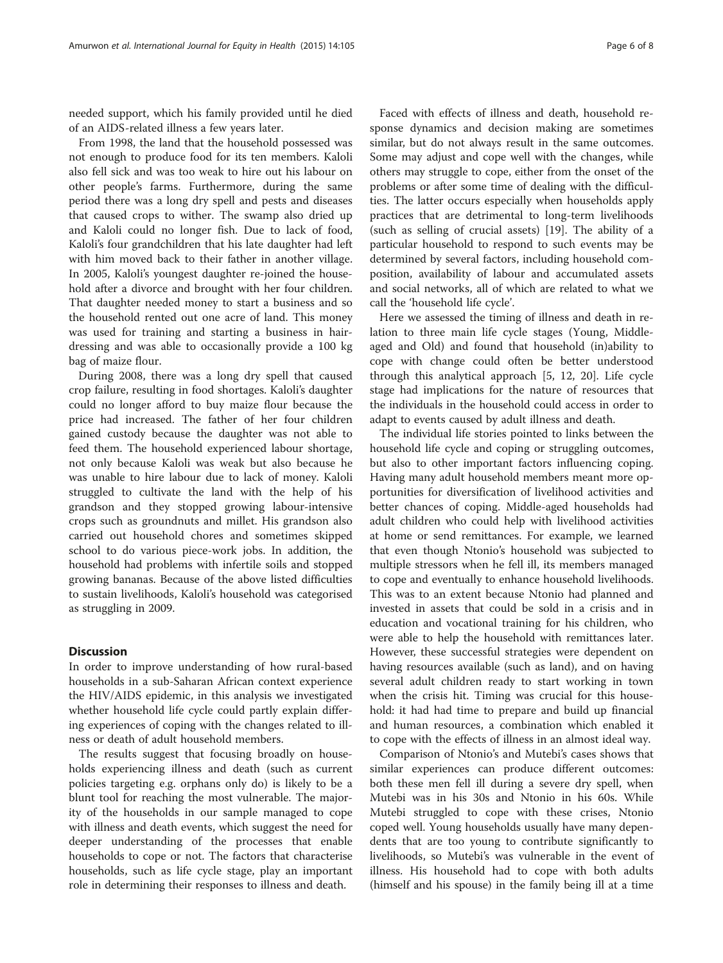needed support, which his family provided until he died of an AIDS-related illness a few years later.

From 1998, the land that the household possessed was not enough to produce food for its ten members. Kaloli also fell sick and was too weak to hire out his labour on other people's farms. Furthermore, during the same period there was a long dry spell and pests and diseases that caused crops to wither. The swamp also dried up and Kaloli could no longer fish. Due to lack of food, Kaloli's four grandchildren that his late daughter had left with him moved back to their father in another village. In 2005, Kaloli's youngest daughter re-joined the household after a divorce and brought with her four children. That daughter needed money to start a business and so the household rented out one acre of land. This money was used for training and starting a business in hairdressing and was able to occasionally provide a 100 kg bag of maize flour.

During 2008, there was a long dry spell that caused crop failure, resulting in food shortages. Kaloli's daughter could no longer afford to buy maize flour because the price had increased. The father of her four children gained custody because the daughter was not able to feed them. The household experienced labour shortage, not only because Kaloli was weak but also because he was unable to hire labour due to lack of money. Kaloli struggled to cultivate the land with the help of his grandson and they stopped growing labour-intensive crops such as groundnuts and millet. His grandson also carried out household chores and sometimes skipped school to do various piece-work jobs. In addition, the household had problems with infertile soils and stopped growing bananas. Because of the above listed difficulties to sustain livelihoods, Kaloli's household was categorised as struggling in 2009.

# **Discussion**

In order to improve understanding of how rural-based households in a sub-Saharan African context experience the HIV/AIDS epidemic, in this analysis we investigated whether household life cycle could partly explain differing experiences of coping with the changes related to illness or death of adult household members.

The results suggest that focusing broadly on households experiencing illness and death (such as current policies targeting e.g. orphans only do) is likely to be a blunt tool for reaching the most vulnerable. The majority of the households in our sample managed to cope with illness and death events, which suggest the need for deeper understanding of the processes that enable households to cope or not. The factors that characterise households, such as life cycle stage, play an important role in determining their responses to illness and death.

Faced with effects of illness and death, household response dynamics and decision making are sometimes similar, but do not always result in the same outcomes. Some may adjust and cope well with the changes, while others may struggle to cope, either from the onset of the problems or after some time of dealing with the difficulties. The latter occurs especially when households apply practices that are detrimental to long-term livelihoods (such as selling of crucial assets) [[19](#page-7-0)]. The ability of a particular household to respond to such events may be determined by several factors, including household composition, availability of labour and accumulated assets and social networks, all of which are related to what we call the 'household life cycle'.

Here we assessed the timing of illness and death in relation to three main life cycle stages (Young, Middleaged and Old) and found that household (in)ability to cope with change could often be better understood through this analytical approach [\[5, 12, 20](#page-7-0)]. Life cycle stage had implications for the nature of resources that the individuals in the household could access in order to adapt to events caused by adult illness and death.

The individual life stories pointed to links between the household life cycle and coping or struggling outcomes, but also to other important factors influencing coping. Having many adult household members meant more opportunities for diversification of livelihood activities and better chances of coping. Middle-aged households had adult children who could help with livelihood activities at home or send remittances. For example, we learned that even though Ntonio's household was subjected to multiple stressors when he fell ill, its members managed to cope and eventually to enhance household livelihoods. This was to an extent because Ntonio had planned and invested in assets that could be sold in a crisis and in education and vocational training for his children, who were able to help the household with remittances later. However, these successful strategies were dependent on having resources available (such as land), and on having several adult children ready to start working in town when the crisis hit. Timing was crucial for this household: it had had time to prepare and build up financial and human resources, a combination which enabled it to cope with the effects of illness in an almost ideal way.

Comparison of Ntonio's and Mutebi's cases shows that similar experiences can produce different outcomes: both these men fell ill during a severe dry spell, when Mutebi was in his 30s and Ntonio in his 60s. While Mutebi struggled to cope with these crises, Ntonio coped well. Young households usually have many dependents that are too young to contribute significantly to livelihoods, so Mutebi's was vulnerable in the event of illness. His household had to cope with both adults (himself and his spouse) in the family being ill at a time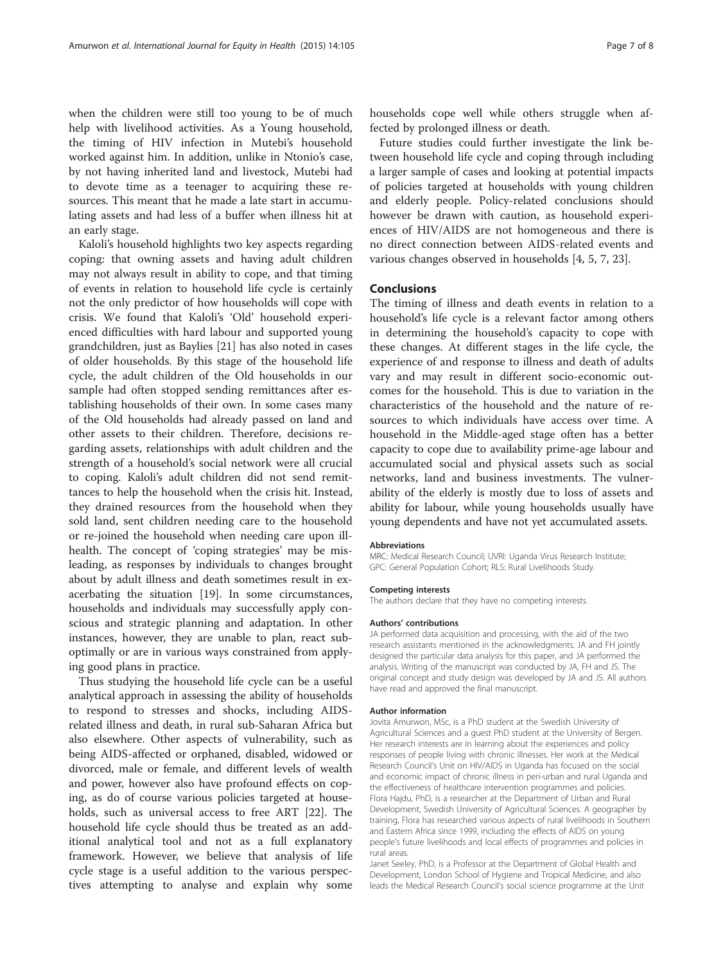when the children were still too young to be of much help with livelihood activities. As a Young household, the timing of HIV infection in Mutebi's household worked against him. In addition, unlike in Ntonio's case, by not having inherited land and livestock, Mutebi had to devote time as a teenager to acquiring these resources. This meant that he made a late start in accumulating assets and had less of a buffer when illness hit at an early stage.

Kaloli's household highlights two key aspects regarding coping: that owning assets and having adult children may not always result in ability to cope, and that timing of events in relation to household life cycle is certainly not the only predictor of how households will cope with crisis. We found that Kaloli's 'Old' household experienced difficulties with hard labour and supported young grandchildren, just as Baylies [[21](#page-7-0)] has also noted in cases of older households. By this stage of the household life cycle, the adult children of the Old households in our sample had often stopped sending remittances after establishing households of their own. In some cases many of the Old households had already passed on land and other assets to their children. Therefore, decisions regarding assets, relationships with adult children and the strength of a household's social network were all crucial to coping. Kaloli's adult children did not send remittances to help the household when the crisis hit. Instead, they drained resources from the household when they sold land, sent children needing care to the household or re-joined the household when needing care upon illhealth. The concept of 'coping strategies' may be misleading, as responses by individuals to changes brought about by adult illness and death sometimes result in exacerbating the situation [[19\]](#page-7-0). In some circumstances, households and individuals may successfully apply conscious and strategic planning and adaptation. In other instances, however, they are unable to plan, react suboptimally or are in various ways constrained from applying good plans in practice.

Thus studying the household life cycle can be a useful analytical approach in assessing the ability of households to respond to stresses and shocks, including AIDSrelated illness and death, in rural sub-Saharan Africa but also elsewhere. Other aspects of vulnerability, such as being AIDS-affected or orphaned, disabled, widowed or divorced, male or female, and different levels of wealth and power, however also have profound effects on coping, as do of course various policies targeted at households, such as universal access to free ART [\[22](#page-7-0)]. The household life cycle should thus be treated as an additional analytical tool and not as a full explanatory framework. However, we believe that analysis of life cycle stage is a useful addition to the various perspectives attempting to analyse and explain why some

households cope well while others struggle when affected by prolonged illness or death.

Future studies could further investigate the link between household life cycle and coping through including a larger sample of cases and looking at potential impacts of policies targeted at households with young children and elderly people. Policy-related conclusions should however be drawn with caution, as household experiences of HIV/AIDS are not homogeneous and there is no direct connection between AIDS-related events and various changes observed in households [[4, 5, 7, 23\]](#page-7-0).

## **Conclusions**

The timing of illness and death events in relation to a household's life cycle is a relevant factor among others in determining the household's capacity to cope with these changes. At different stages in the life cycle, the experience of and response to illness and death of adults vary and may result in different socio-economic outcomes for the household. This is due to variation in the characteristics of the household and the nature of resources to which individuals have access over time. A household in the Middle-aged stage often has a better capacity to cope due to availability prime-age labour and accumulated social and physical assets such as social networks, land and business investments. The vulnerability of the elderly is mostly due to loss of assets and ability for labour, while young households usually have young dependents and have not yet accumulated assets.

#### Abbreviations

MRC: Medical Research Council; UVRI: Uganda Virus Research Institute; GPC: General Population Cohort; RLS: Rural Livelihoods Study.

#### Competing interests

The authors declare that they have no competing interests.

#### Authors' contributions

JA performed data acquisition and processing, with the aid of the two research assistants mentioned in the acknowledgments. JA and FH jointly designed the particular data analysis for this paper, and JA performed the analysis. Writing of the manuscript was conducted by JA, FH and JS. The original concept and study design was developed by JA and JS. All authors have read and approved the final manuscript.

#### Author information

Jovita Amurwon, MSc, is a PhD student at the Swedish University of Agricultural Sciences and a guest PhD student at the University of Bergen. Her research interests are in learning about the experiences and policy responses of people living with chronic illnesses. Her work at the Medical Research Council's Unit on HIV/AIDS in Uganda has focused on the social and economic impact of chronic illness in peri-urban and rural Uganda and the effectiveness of healthcare intervention programmes and policies. Flora Hajdu, PhD, is a researcher at the Department of Urban and Rural Development, Swedish University of Agricultural Sciences. A geographer by training, Flora has researched various aspects of rural livelihoods in Southern and Eastern Africa since 1999, including the effects of AIDS on young people's future livelihoods and local effects of programmes and policies in rural areas.

Janet Seeley, PhD, is a Professor at the Department of Global Health and Development, London School of Hygiene and Tropical Medicine, and also leads the Medical Research Council's social science programme at the Unit